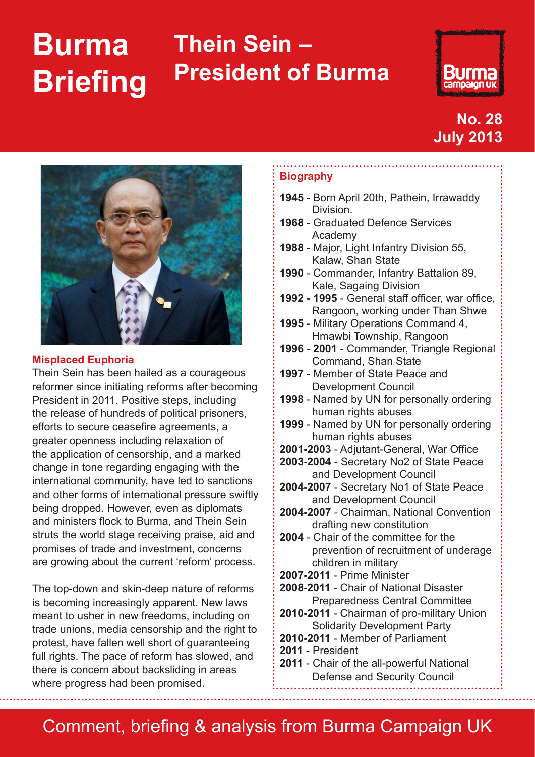# **Burma Briefing**

## **Thein Sein – President of Burma**



### **No. 28 July 2013**



#### **Misplaced Euphoria**

Thein Sein has been hailed as a courageous reformer since initiating reforms after becoming President in 2011. Positive steps, including the release of hundreds of political prisoners, efforts to secure ceasefire agreements, a greater openness including relaxation of the application of censorship, and a marked change in tone regarding engaging with the international community, have led to sanctions and other forms of international pressure swiftly being dropped. However, even as diplomats and ministers flock to Burma, and Thein Sein struts the world stage receiving praise, aid and promises of trade and investment, concerns are growing about the current 'reform' process.

The top-down and skin-deep nature of reforms is becoming increasingly apparent. New laws meant to usher in new freedoms, including on trade unions, media censorship and the right to protest, have fallen well short of guaranteeing full rights. The pace of reform has slowed, and there is concern about backsliding in areas where progress had been promised.

#### **Biography**

- **1945** Born April 20th, Pathein, Irrawaddy **Division**
- **1968** Graduated Defence Services Academy
- **1988** Major, Light Infantry Division 55, Kalaw, Shan State
- **1990** Commander, Infantry Battalion 89, Kale, Sagaing Division
- **1992 1995** General staff officer, war office, Rangoon, working under Than Shwe
- **1995** Military Operations Command 4, Hmawbi Township, Rangoon
- **1996 2001** Commander, Triangle Regional Command, Shan State
- **1997** Member of State Peace and Development Council
- **1998** Named by UN for personally ordering human rights abuses
- **1999** Named by UN for personally ordering human rights abuses
- **2001-2003** Adjutant-General, War Office
- **2003-2004** Secretary No2 of State Peace and Development Council
- **2004-2007** Secretary No1 of State Peace and Development Council
- **2004-2007** Chairman, National Convention drafting new constitution
- **2004** Chair of the committee for the prevention of recruitment of underage children in military
- **2007-2011** Prime Minister
- **2008-2011** Chair of National Disaster Preparedness Central Committee
- **2010-2011** Chairman of pro-military Union Solidarity Development Party
- **2010-2011** Member of Parliament
- **2011** President
- **2011** Chair of the all-powerful National Defense and Security Council

## Comment, briefing & analysis from Burma Campaign UK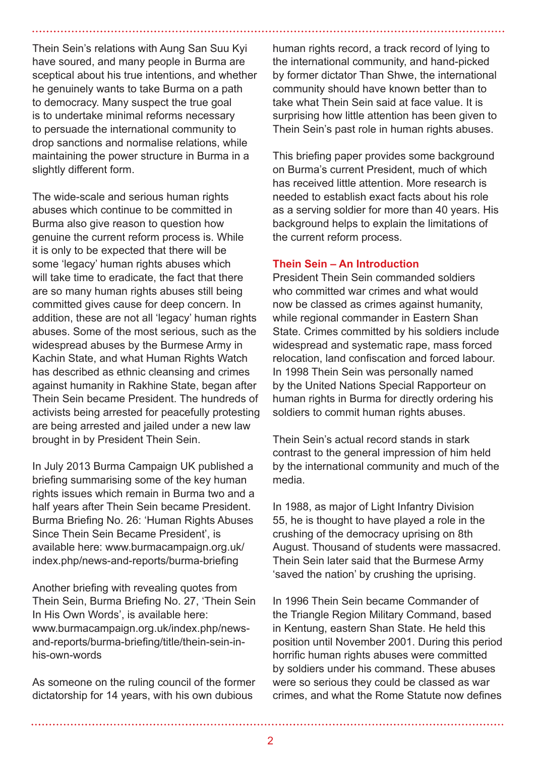Thein Sein's relations with Aung San Suu Kyi have soured, and many people in Burma are sceptical about his true intentions, and whether he genuinely wants to take Burma on a path to democracy. Many suspect the true goal is to undertake minimal reforms necessary to persuade the international community to drop sanctions and normalise relations, while maintaining the power structure in Burma in a slightly different form.

The wide-scale and serious human rights abuses which continue to be committed in Burma also give reason to question how genuine the current reform process is. While it is only to be expected that there will be some 'legacy' human rights abuses which will take time to eradicate, the fact that there are so many human rights abuses still being committed gives cause for deep concern. In addition, these are not all 'legacy' human rights abuses. Some of the most serious, such as the widespread abuses by the Burmese Army in Kachin State, and what Human Rights Watch has described as ethnic cleansing and crimes against humanity in Rakhine State, began after Thein Sein became President. The hundreds of activists being arrested for peacefully protesting are being arrested and jailed under a new law brought in by President Thein Sein.

In July 2013 Burma Campaign UK published a briefing summarising some of the key human rights issues which remain in Burma two and a half years after Thein Sein became President. Burma Briefing No. 26: 'Human Rights Abuses Since Thein Sein Became President', is available here: www.burmacampaign.org.uk/ index.php/news-and-reports/burma-briefing

Another briefing with revealing quotes from Thein Sein, Burma Briefing No. 27, 'Thein Sein In His Own Words', is available here: www.burmacampaign.org.uk/index.php/newsand-reports/burma-briefing/title/thein-sein-inhis-own-words

As someone on the ruling council of the former dictatorship for 14 years, with his own dubious

human rights record, a track record of lying to the international community, and hand-picked by former dictator Than Shwe, the international community should have known better than to take what Thein Sein said at face value. It is surprising how little attention has been given to Thein Sein's past role in human rights abuses.

This briefing paper provides some background on Burma's current President, much of which has received little attention. More research is needed to establish exact facts about his role as a serving soldier for more than 40 years. His background helps to explain the limitations of the current reform process.

#### **Thein Sein – An Introduction**

President Thein Sein commanded soldiers who committed war crimes and what would now be classed as crimes against humanity, while regional commander in Eastern Shan State. Crimes committed by his soldiers include widespread and systematic rape, mass forced relocation, land confiscation and forced labour. In 1998 Thein Sein was personally named by the United Nations Special Rapporteur on human rights in Burma for directly ordering his soldiers to commit human rights abuses.

Thein Sein's actual record stands in stark contrast to the general impression of him held by the international community and much of the media.

In 1988, as major of Light Infantry Division 55, he is thought to have played a role in the crushing of the democracy uprising on 8th August. Thousand of students were massacred. Thein Sein later said that the Burmese Army 'saved the nation' by crushing the uprising.

In 1996 Thein Sein became Commander of the Triangle Region Military Command, based in Kentung, eastern Shan State. He held this position until November 2001. During this period horrific human rights abuses were committed by soldiers under his command. These abuses were so serious they could be classed as war crimes, and what the Rome Statute now defines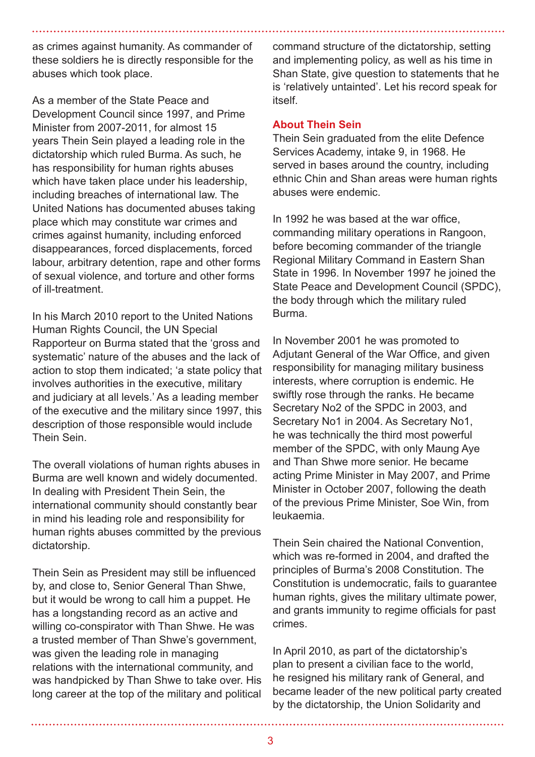as crimes against humanity. As commander of these soldiers he is directly responsible for the abuses which took place.

As a member of the State Peace and Development Council since 1997, and Prime Minister from 2007-2011, for almost 15 years Thein Sein played a leading role in the dictatorship which ruled Burma. As such, he has responsibility for human rights abuses which have taken place under his leadership, including breaches of international law. The United Nations has documented abuses taking place which may constitute war crimes and crimes against humanity, including enforced disappearances, forced displacements, forced labour, arbitrary detention, rape and other forms of sexual violence, and torture and other forms of ill-treatment.

In his March 2010 report to the United Nations Human Rights Council, the UN Special Rapporteur on Burma stated that the 'gross and systematic' nature of the abuses and the lack of action to stop them indicated; 'a state policy that involves authorities in the executive, military and judiciary at all levels.' As a leading member of the executive and the military since 1997, this description of those responsible would include Thein Sein.

The overall violations of human rights abuses in Burma are well known and widely documented. In dealing with President Thein Sein, the international community should constantly bear in mind his leading role and responsibility for human rights abuses committed by the previous dictatorship.

Thein Sein as President may still be influenced by, and close to, Senior General Than Shwe, but it would be wrong to call him a puppet. He has a longstanding record as an active and willing co-conspirator with Than Shwe. He was a trusted member of Than Shwe's government, was given the leading role in managing relations with the international community, and was handpicked by Than Shwe to take over. His long career at the top of the military and political

command structure of the dictatorship, setting and implementing policy, as well as his time in Shan State, give question to statements that he is 'relatively untainted'. Let his record speak for itself.

#### **About Thein Sein**

Thein Sein graduated from the elite Defence Services Academy, intake 9, in 1968. He served in bases around the country, including ethnic Chin and Shan areas were human rights abuses were endemic.

In 1992 he was based at the war office, commanding military operations in Rangoon, before becoming commander of the triangle Regional Military Command in Eastern Shan State in 1996. In November 1997 he joined the State Peace and Development Council (SPDC), the body through which the military ruled Burma.

In November 2001 he was promoted to Adjutant General of the War Office, and given responsibility for managing military business interests, where corruption is endemic. He swiftly rose through the ranks. He became Secretary No2 of the SPDC in 2003, and Secretary No1 in 2004. As Secretary No1, he was technically the third most powerful member of the SPDC, with only Maung Aye and Than Shwe more senior. He became acting Prime Minister in May 2007, and Prime Minister in October 2007, following the death of the previous Prime Minister, Soe Win, from leukaemia.

Thein Sein chaired the National Convention, which was re-formed in 2004, and drafted the principles of Burma's 2008 Constitution. The Constitution is undemocratic, fails to guarantee human rights, gives the military ultimate power, and grants immunity to regime officials for past crimes.

In April 2010, as part of the dictatorship's plan to present a civilian face to the world, he resigned his military rank of General, and became leader of the new political party created by the dictatorship, the Union Solidarity and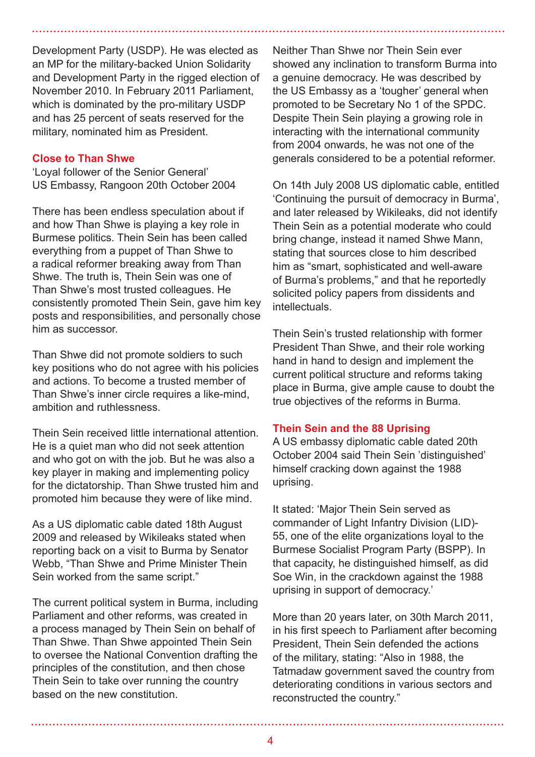Development Party (USDP). He was elected as an MP for the military-backed Union Solidarity and Development Party in the rigged election of November 2010. In February 2011 Parliament, which is dominated by the pro-military USDP and has 25 percent of seats reserved for the military, nominated him as President.

#### **Close to Than Shwe**

'Loyal follower of the Senior General' US Embassy, Rangoon 20th October 2004

There has been endless speculation about if and how Than Shwe is playing a key role in Burmese politics. Thein Sein has been called everything from a puppet of Than Shwe to a radical reformer breaking away from Than Shwe. The truth is, Thein Sein was one of Than Shwe's most trusted colleagues. He consistently promoted Thein Sein, gave him key posts and responsibilities, and personally chose him as successor.

Than Shwe did not promote soldiers to such key positions who do not agree with his policies and actions. To become a trusted member of Than Shwe's inner circle requires a like-mind, ambition and ruthlessness.

Thein Sein received little international attention. He is a quiet man who did not seek attention and who got on with the job. But he was also a key player in making and implementing policy for the dictatorship. Than Shwe trusted him and promoted him because they were of like mind.

As a US diplomatic cable dated 18th August 2009 and released by Wikileaks stated when reporting back on a visit to Burma by Senator Webb, "Than Shwe and Prime Minister Thein Sein worked from the same script."

The current political system in Burma, including Parliament and other reforms, was created in a process managed by Thein Sein on behalf of Than Shwe. Than Shwe appointed Thein Sein to oversee the National Convention drafting the principles of the constitution, and then chose Thein Sein to take over running the country based on the new constitution.

Neither Than Shwe nor Thein Sein ever showed any inclination to transform Burma into a genuine democracy. He was described by the US Embassy as a 'tougher' general when promoted to be Secretary No 1 of the SPDC. Despite Thein Sein playing a growing role in interacting with the international community from 2004 onwards, he was not one of the generals considered to be a potential reformer.

On 14th July 2008 US diplomatic cable, entitled 'Continuing the pursuit of democracy in Burma', and later released by Wikileaks, did not identify Thein Sein as a potential moderate who could bring change, instead it named Shwe Mann, stating that sources close to him described him as "smart, sophisticated and well-aware of Burma's problems," and that he reportedly solicited policy papers from dissidents and intellectuals.

Thein Sein's trusted relationship with former President Than Shwe, and their role working hand in hand to design and implement the current political structure and reforms taking place in Burma, give ample cause to doubt the true objectives of the reforms in Burma.

#### **Thein Sein and the 88 Uprising**

A US embassy diplomatic cable dated 20th October 2004 said Thein Sein 'distinguished' himself cracking down against the 1988 uprising.

It stated: 'Major Thein Sein served as commander of Light Infantry Division (LID)- 55, one of the elite organizations loyal to the Burmese Socialist Program Party (BSPP). In that capacity, he distinguished himself, as did Soe Win, in the crackdown against the 1988 uprising in support of democracy.'

More than 20 years later, on 30th March 2011, in his first speech to Parliament after becoming President, Thein Sein defended the actions of the military, stating: "Also in 1988, the Tatmadaw government saved the country from deteriorating conditions in various sectors and reconstructed the country."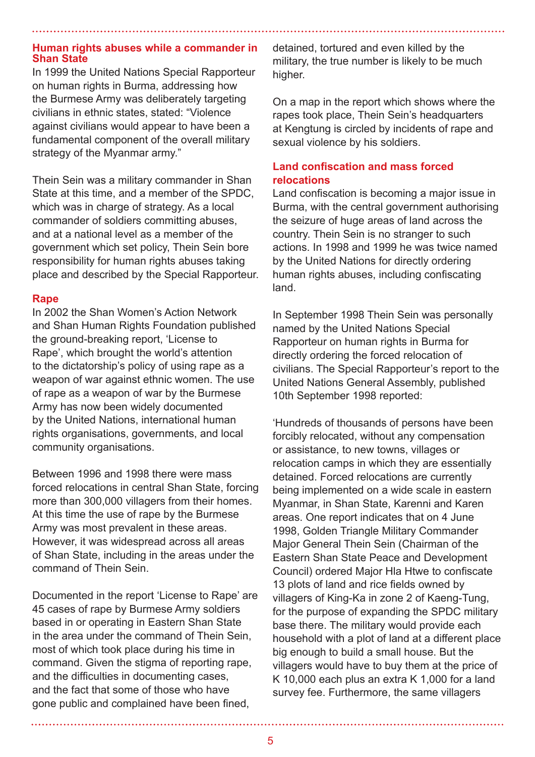#### **Human rights abuses while a commander in Shan State**

In 1999 the United Nations Special Rapporteur on human rights in Burma, addressing how the Burmese Army was deliberately targeting civilians in ethnic states, stated: "Violence against civilians would appear to have been a fundamental component of the overall military strategy of the Myanmar army."

Thein Sein was a military commander in Shan State at this time, and a member of the SPDC, which was in charge of strategy. As a local commander of soldiers committing abuses, and at a national level as a member of the government which set policy, Thein Sein bore responsibility for human rights abuses taking place and described by the Special Rapporteur.

#### **Rape**

In 2002 the Shan Women's Action Network and Shan Human Rights Foundation published the ground-breaking report, 'License to Rape', which brought the world's attention to the dictatorship's policy of using rape as a weapon of war against ethnic women. The use of rape as a weapon of war by the Burmese Army has now been widely documented by the United Nations, international human rights organisations, governments, and local community organisations.

Between 1996 and 1998 there were mass forced relocations in central Shan State, forcing more than 300,000 villagers from their homes. At this time the use of rape by the Burmese Army was most prevalent in these areas. However, it was widespread across all areas of Shan State, including in the areas under the command of Thein Sein.

Documented in the report 'License to Rape' are 45 cases of rape by Burmese Army soldiers based in or operating in Eastern Shan State in the area under the command of Thein Sein, most of which took place during his time in command. Given the stigma of reporting rape, and the difficulties in documenting cases, and the fact that some of those who have gone public and complained have been fined,

detained, tortured and even killed by the military, the true number is likely to be much higher.

On a map in the report which shows where the rapes took place, Thein Sein's headquarters at Kengtung is circled by incidents of rape and sexual violence by his soldiers.

#### **Land confiscation and mass forced relocations**

Land confiscation is becoming a major issue in Burma, with the central government authorising the seizure of huge areas of land across the country. Thein Sein is no stranger to such actions. In 1998 and 1999 he was twice named by the United Nations for directly ordering human rights abuses, including confiscating land.

In September 1998 Thein Sein was personally named by the United Nations Special Rapporteur on human rights in Burma for directly ordering the forced relocation of civilians. The Special Rapporteur's report to the United Nations General Assembly, published 10th September 1998 reported:

'Hundreds of thousands of persons have been forcibly relocated, without any compensation or assistance, to new towns, villages or relocation camps in which they are essentially detained. Forced relocations are currently being implemented on a wide scale in eastern Myanmar, in Shan State, Karenni and Karen areas. One report indicates that on 4 June 1998, Golden Triangle Military Commander Major General Thein Sein (Chairman of the Eastern Shan State Peace and Development Council) ordered Major Hla Htwe to confiscate 13 plots of land and rice fields owned by villagers of King-Ka in zone 2 of Kaeng-Tung, for the purpose of expanding the SPDC military base there. The military would provide each household with a plot of land at a different place big enough to build a small house. But the villagers would have to buy them at the price of K 10,000 each plus an extra K 1,000 for a land survey fee. Furthermore, the same villagers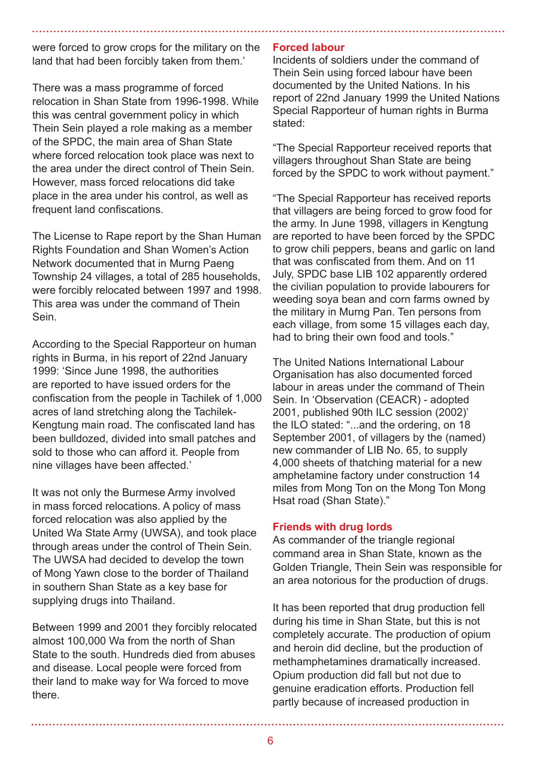were forced to grow crops for the military on the land that had been forcibly taken from them.'

There was a mass programme of forced relocation in Shan State from 1996-1998. While this was central government policy in which Thein Sein played a role making as a member of the SPDC, the main area of Shan State where forced relocation took place was next to the area under the direct control of Thein Sein. However, mass forced relocations did take place in the area under his control, as well as frequent land confiscations.

The License to Rape report by the Shan Human Rights Foundation and Shan Women's Action Network documented that in Murng Paeng Township 24 villages, a total of 285 households, were forcibly relocated between 1997 and 1998. This area was under the command of Thein Sein.

According to the Special Rapporteur on human rights in Burma, in his report of 22nd January 1999: 'Since June 1998, the authorities are reported to have issued orders for the confiscation from the people in Tachilek of 1,000 acres of land stretching along the Tachilek-Kengtung main road. The confiscated land has been bulldozed, divided into small patches and sold to those who can afford it. People from nine villages have been affected.'

It was not only the Burmese Army involved in mass forced relocations. A policy of mass forced relocation was also applied by the United Wa State Army (UWSA), and took place through areas under the control of Thein Sein. The UWSA had decided to develop the town of Mong Yawn close to the border of Thailand in southern Shan State as a key base for supplying drugs into Thailand.

Between 1999 and 2001 they forcibly relocated almost 100,000 Wa from the north of Shan State to the south. Hundreds died from abuses and disease. Local people were forced from their land to make way for Wa forced to move there.

#### **Forced labour**

Incidents of soldiers under the command of Thein Sein using forced labour have been documented by the United Nations. In his report of 22nd January 1999 the United Nations Special Rapporteur of human rights in Burma stated:

"The Special Rapporteur received reports that villagers throughout Shan State are being forced by the SPDC to work without payment."

"The Special Rapporteur has received reports that villagers are being forced to grow food for the army. In June 1998, villagers in Kengtung are reported to have been forced by the SPDC to grow chili peppers, beans and garlic on land that was confiscated from them. And on 11 July, SPDC base LIB 102 apparently ordered the civilian population to provide labourers for weeding soya bean and corn farms owned by the military in Murng Pan. Ten persons from each village, from some 15 villages each day, had to bring their own food and tools."

The United Nations International Labour Organisation has also documented forced labour in areas under the command of Thein Sein. In 'Observation (CEACR) - adopted 2001, published 90th ILC session (2002)' the ILO stated: "...and the ordering, on 18 September 2001, of villagers by the (named) new commander of LIB No. 65, to supply 4,000 sheets of thatching material for a new amphetamine factory under construction 14 miles from Mong Ton on the Mong Ton Mong Hsat road (Shan State)."

#### **Friends with drug lords**

As commander of the triangle regional command area in Shan State, known as the Golden Triangle, Thein Sein was responsible for an area notorious for the production of drugs.

It has been reported that drug production fell during his time in Shan State, but this is not completely accurate. The production of opium and heroin did decline, but the production of methamphetamines dramatically increased. Opium production did fall but not due to genuine eradication efforts. Production fell partly because of increased production in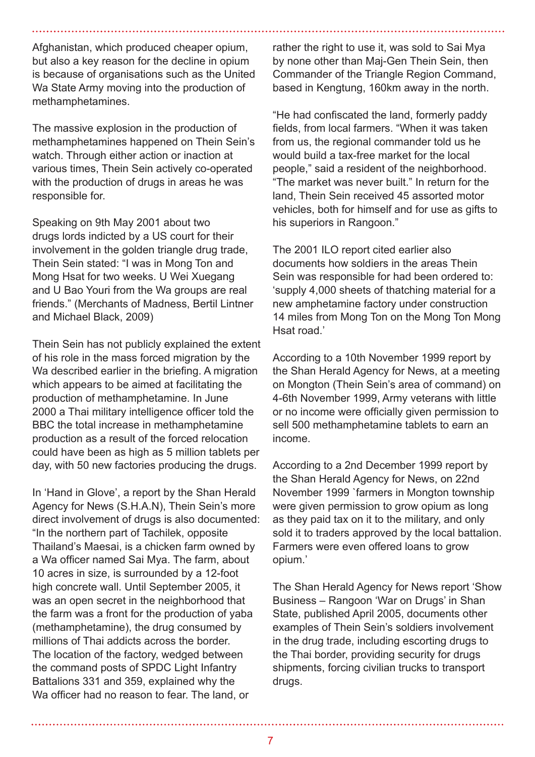Afghanistan, which produced cheaper opium, but also a key reason for the decline in opium is because of organisations such as the United Wa State Army moving into the production of methamphetamines.

The massive explosion in the production of methamphetamines happened on Thein Sein's watch. Through either action or inaction at various times, Thein Sein actively co-operated with the production of drugs in areas he was responsible for.

Speaking on 9th May 2001 about two drugs lords indicted by a US court for their involvement in the golden triangle drug trade, Thein Sein stated: "I was in Mong Ton and Mong Hsat for two weeks. U Wei Xuegang and U Bao Youri from the Wa groups are real friends." (Merchants of Madness, Bertil Lintner and Michael Black, 2009)

Thein Sein has not publicly explained the extent of his role in the mass forced migration by the Wa described earlier in the briefing. A migration which appears to be aimed at facilitating the production of methamphetamine. In June 2000 a Thai military intelligence officer told the BBC the total increase in methamphetamine production as a result of the forced relocation could have been as high as 5 million tablets per day, with 50 new factories producing the drugs.

In 'Hand in Glove', a report by the Shan Herald Agency for News (S.H.A.N), Thein Sein's more direct involvement of drugs is also documented: "In the northern part of Tachilek, opposite Thailand's Maesai, is a chicken farm owned by a Wa officer named Sai Mya. The farm, about 10 acres in size, is surrounded by a 12-foot high concrete wall. Until September 2005, it was an open secret in the neighborhood that the farm was a front for the production of yaba (methamphetamine), the drug consumed by millions of Thai addicts across the border. The location of the factory, wedged between the command posts of SPDC Light Infantry Battalions 331 and 359, explained why the Wa officer had no reason to fear. The land, or

rather the right to use it, was sold to Sai Mya by none other than Maj-Gen Thein Sein, then Commander of the Triangle Region Command, based in Kengtung, 160km away in the north.

"He had confiscated the land, formerly paddy fields, from local farmers. "When it was taken from us, the regional commander told us he would build a tax-free market for the local people," said a resident of the neighborhood. "The market was never built." In return for the land, Thein Sein received 45 assorted motor vehicles, both for himself and for use as gifts to his superiors in Rangoon."

The 2001 ILO report cited earlier also documents how soldiers in the areas Thein Sein was responsible for had been ordered to: 'supply 4,000 sheets of thatching material for a new amphetamine factory under construction 14 miles from Mong Ton on the Mong Ton Mong Hsat road.'

According to a 10th November 1999 report by the Shan Herald Agency for News, at a meeting on Mongton (Thein Sein's area of command) on 4-6th November 1999, Army veterans with little or no income were officially given permission to sell 500 methamphetamine tablets to earn an income.

According to a 2nd December 1999 report by the Shan Herald Agency for News, on 22nd November 1999 `farmers in Mongton township were given permission to grow opium as long as they paid tax on it to the military, and only sold it to traders approved by the local battalion. Farmers were even offered loans to grow opium.'

The Shan Herald Agency for News report 'Show Business – Rangoon 'War on Drugs' in Shan State, published April 2005, documents other examples of Thein Sein's soldiers involvement in the drug trade, including escorting drugs to the Thai border, providing security for drugs shipments, forcing civilian trucks to transport drugs.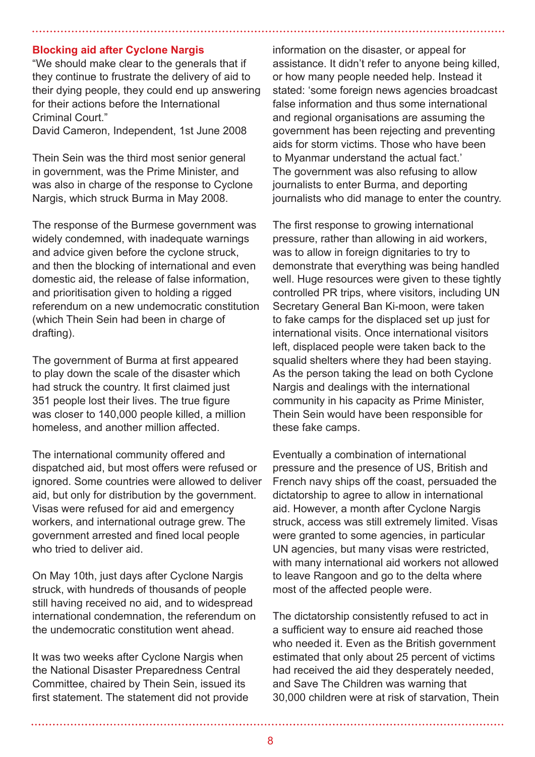#### **Blocking aid after Cyclone Nargis**

"We should make clear to the generals that if they continue to frustrate the delivery of aid to their dying people, they could end up answering for their actions before the International Criminal Court."

David Cameron, Independent, 1st June 2008

Thein Sein was the third most senior general in government, was the Prime Minister, and was also in charge of the response to Cyclone Nargis, which struck Burma in May 2008.

The response of the Burmese government was widely condemned, with inadequate warnings and advice given before the cyclone struck, and then the blocking of international and even domestic aid, the release of false information, and prioritisation given to holding a rigged referendum on a new undemocratic constitution (which Thein Sein had been in charge of drafting).

The government of Burma at first appeared to play down the scale of the disaster which had struck the country. It first claimed just 351 people lost their lives. The true figure was closer to 140,000 people killed, a million homeless, and another million affected.

The international community offered and dispatched aid, but most offers were refused or ignored. Some countries were allowed to deliver aid, but only for distribution by the government. Visas were refused for aid and emergency workers, and international outrage grew. The government arrested and fined local people who tried to deliver aid.

On May 10th, just days after Cyclone Nargis struck, with hundreds of thousands of people still having received no aid, and to widespread international condemnation, the referendum on the undemocratic constitution went ahead.

It was two weeks after Cyclone Nargis when the National Disaster Preparedness Central Committee, chaired by Thein Sein, issued its first statement. The statement did not provide

information on the disaster, or appeal for assistance. It didn't refer to anyone being killed, or how many people needed help. Instead it stated: 'some foreign news agencies broadcast false information and thus some international and regional organisations are assuming the government has been rejecting and preventing aids for storm victims. Those who have been to Myanmar understand the actual fact.' The government was also refusing to allow journalists to enter Burma, and deporting journalists who did manage to enter the country.

The first response to growing international pressure, rather than allowing in aid workers, was to allow in foreign dignitaries to try to demonstrate that everything was being handled well. Huge resources were given to these tightly controlled PR trips, where visitors, including UN Secretary General Ban Ki-moon, were taken to fake camps for the displaced set up just for international visits. Once international visitors left, displaced people were taken back to the squalid shelters where they had been staying. As the person taking the lead on both Cyclone Nargis and dealings with the international community in his capacity as Prime Minister, Thein Sein would have been responsible for these fake camps.

Eventually a combination of international pressure and the presence of US, British and French navy ships off the coast, persuaded the dictatorship to agree to allow in international aid. However, a month after Cyclone Nargis struck, access was still extremely limited. Visas were granted to some agencies, in particular UN agencies, but many visas were restricted, with many international aid workers not allowed to leave Rangoon and go to the delta where most of the affected people were.

The dictatorship consistently refused to act in a sufficient way to ensure aid reached those who needed it. Even as the British government estimated that only about 25 percent of victims had received the aid they desperately needed, and Save The Children was warning that 30,000 children were at risk of starvation, Thein